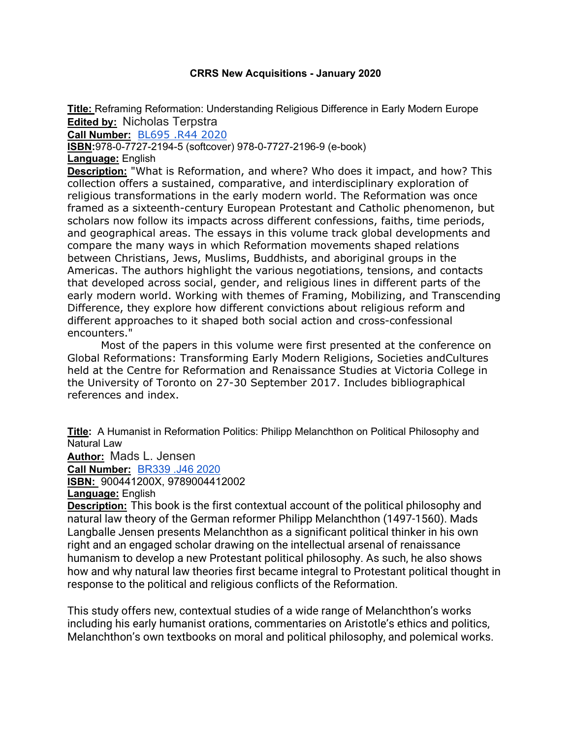## **CRRS New Acquisitions - January 2020**

**Title:** Reframing Reformation: Understanding Religious Difference in Early Modern Europe **Edited by:** Nicholas Terpstra

**Call Number:** BL695 .R44 2020

**ISBN:**978-0-7727-2194-5 (softcover) 978-0-7727-2196-9 (e-book)

**Language:** English

**Description:** "What is Reformation, and where? Who does it impact, and how? This collection offers a sustained, comparative, and interdisciplinary exploration of religious transformations in the early modern world. The Reformation was once framed as a sixteenth-century European Protestant and Catholic phenomenon, but scholars now follow its impacts across different confessions, faiths, time periods, and geographical areas. The essays in this volume track global developments and compare the many ways in which Reformation movements shaped relations between Christians, Jews, Muslims, Buddhists, and aboriginal groups in the Americas. The authors highlight the various negotiations, tensions, and contacts that developed across social, gender, and religious lines in different parts of the early modern world. Working with themes of Framing, Mobilizing, and Transcending Difference, they explore how different convictions about religious reform and different approaches to it shaped both social action and cross-confessional encounters."

Most of the papers in this volume were first presented at the conference on Global Reformations: Transforming Early Modern Religions, Societies andCultures held at the Centre for Reformation and Renaissance Studies at Victoria College in the University of Toronto on 27-30 September 2017. Includes bibliographical references and index.

**Title:** A Humanist in Reformation Politics: Philipp Melanchthon on Political Philosophy and Natural Law

**Author:** Mads L. Jensen

**Call Number:** BR339 .J46 2020

**ISBN:** 900441200X, 9789004412002

**Language:** English

**Description:** This book is the first contextual account of the political philosophy and natural law theory of the German reformer Philipp Melanchthon (1497-1560). Mads Langballe Jensen presents Melanchthon as a significant political thinker in his own right and an engaged scholar drawing on the intellectual arsenal of renaissance humanism to develop a new Protestant political philosophy. As such, he also shows how and why natural law theories first became integral to Protestant political thought in response to the political and religious conflicts of the Reformation.

This study offers new, contextual studies of a wide range of Melanchthon's works including his early humanist orations, commentaries on Aristotle's ethics and politics, Melanchthon's own textbooks on moral and political philosophy, and polemical works.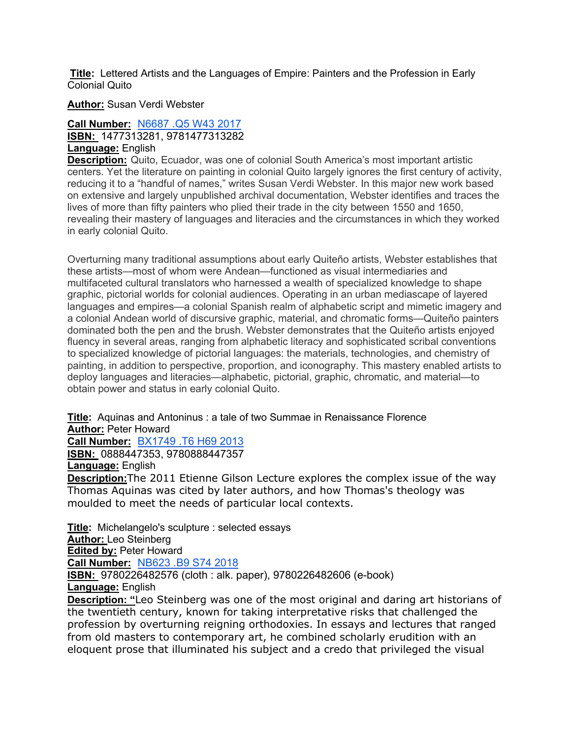**Title:** Lettered Artists and the Languages of Empire: Painters and the Profession in Early Colonial Quito

**Author:** Susan Verdi Webster

## **Call Number:** N6687 .Q5 W43 2017 **ISBN:** 1477313281, 9781477313282 **Language:** English

**Description:** Quito, Ecuador, was one of colonial South America's most important artistic centers. Yet the literature on painting in colonial Quito largely ignores the first century of activity, reducing it to a "handful of names," writes Susan Verdi Webster. In this major new work based on extensive and largely unpublished archival documentation, Webster identifies and traces the lives of more than fifty painters who plied their trade in the city between 1550 and 1650, revealing their mastery of languages and literacies and the circumstances in which they worked in early colonial Quito.

Overturning many traditional assumptions about early Quiteño artists, Webster establishes that these artists—most of whom were Andean—functioned as visual intermediaries and multifaceted cultural translators who harnessed a wealth of specialized knowledge to shape graphic, pictorial worlds for colonial audiences. Operating in an urban mediascape of layered languages and empires—a colonial Spanish realm of alphabetic script and mimetic imagery and a colonial Andean world of discursive graphic, material, and chromatic forms—Quiteño painters dominated both the pen and the brush. Webster demonstrates that the Quiteño artists enjoyed fluency in several areas, ranging from alphabetic literacy and sophisticated scribal conventions to specialized knowledge of pictorial languages: the materials, technologies, and chemistry of painting, in addition to perspective, proportion, and iconography. This mastery enabled artists to deploy languages and literacies—alphabetic, pictorial, graphic, chromatic, and material—to obtain power and status in early colonial Quito.

**Title:** Aquinas and Antoninus : a tale of two Summae in Renaissance Florence **Author:** Peter Howard

**Call Number:** BX1749 .T6 H69 2013

**ISBN:** 0888447353, 9780888447357

**Language:** English

**Description:**The 2011 Etienne Gilson Lecture explores the complex issue of the way Thomas Aquinas was cited by later authors, and how Thomas's theology was moulded to meet the needs of particular local contexts.

**Title:** Michelangelo's sculpture : selected essays **Author:** Leo Steinberg **Edited by:** Peter Howard **Call Number:** NB623 .B9 S74 2018 **ISBN:** 9780226482576 (cloth : alk. paper), 9780226482606 (e-book) **Language:** English **Description: "**Leo Steinberg was one of the most original and daring art historians of the twentieth century, known for taking interpretative risks that challenged the profession by overturning reigning orthodoxies. In essays and lectures that ranged from old masters to contemporary art, he combined scholarly erudition with an

eloquent prose that illuminated his subject and a credo that privileged the visual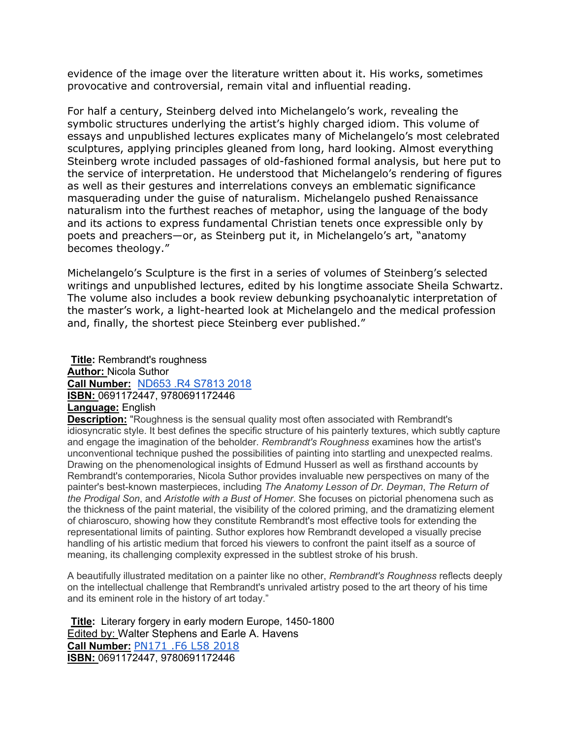evidence of the image over the literature written about it. His works, sometimes provocative and controversial, remain vital and influential reading.

For half a century, Steinberg delved into Michelangelo's work, revealing the symbolic structures underlying the artist's highly charged idiom. This volume of essays and unpublished lectures explicates many of Michelangelo's most celebrated sculptures, applying principles gleaned from long, hard looking. Almost everything Steinberg wrote included passages of old-fashioned formal analysis, but here put to the service of interpretation. He understood that Michelangelo's rendering of figures as well as their gestures and interrelations conveys an emblematic significance masquerading under the guise of naturalism. Michelangelo pushed Renaissance naturalism into the furthest reaches of metaphor, using the language of the body and its actions to express fundamental Christian tenets once expressible only by poets and preachers—or, as Steinberg put it, in Michelangelo's art, "anatomy becomes theology."

Michelangelo's Sculpture is the first in a series of volumes of Steinberg's selected writings and unpublished lectures, edited by his longtime associate Sheila Schwartz. The volume also includes a book review debunking psychoanalytic interpretation of the master's work, a light-hearted look at Michelangelo and the medical profession and, finally, the shortest piece Steinberg ever published."

**Title:** Rembrandt's roughness **Author:** Nicola Suthor **Call Number:** ND653 .R4 S7813 2018 **ISBN:** 0691172447, 9780691172446 **Language:** English

**Description:** "Roughness is the sensual quality most often associated with Rembrandt's idiosyncratic style. It best defines the specific structure of his painterly textures, which subtly capture and engage the imagination of the beholder. *Rembrandt's Roughness* examines how the artist's unconventional technique pushed the possibilities of painting into startling and unexpected realms. Drawing on the phenomenological insights of Edmund Husserl as well as firsthand accounts by Rembrandt's contemporaries, Nicola Suthor provides invaluable new perspectives on many of the painter's best-known masterpieces, including *The Anatomy Lesson of Dr. Deyman*, *The Return of the Prodigal Son*, and *Aristotle with a Bust of Homer*. She focuses on pictorial phenomena such as the thickness of the paint material, the visibility of the colored priming, and the dramatizing element of chiaroscuro, showing how they constitute Rembrandt's most effective tools for extending the representational limits of painting. Suthor explores how Rembrandt developed a visually precise handling of his artistic medium that forced his viewers to confront the paint itself as a source of meaning, its challenging complexity expressed in the subtlest stroke of his brush.

A beautifully illustrated meditation on a painter like no other, *Rembrandt's Roughness* reflects deeply on the intellectual challenge that Rembrandt's unrivaled artistry posed to the art theory of his time and its eminent role in the history of art today."

**Title:** Literary forgery in early modern Europe, 1450-1800 Edited by: Walter Stephens and Earle A. Havens **Call Number:** PN171 .F6 L58 2018 **ISBN:** 0691172447, 9780691172446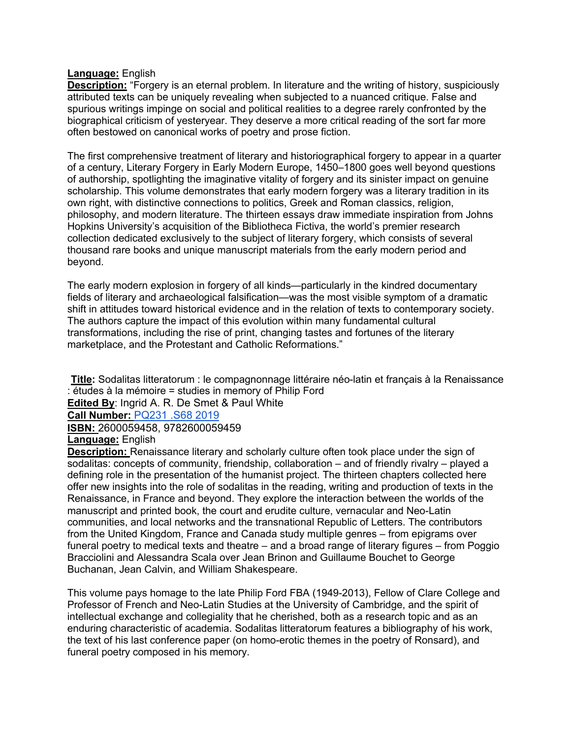## **Language:** English

**Description:** "Forgery is an eternal problem. In literature and the writing of history, suspiciously attributed texts can be uniquely revealing when subjected to a nuanced critique. False and spurious writings impinge on social and political realities to a degree rarely confronted by the biographical criticism of yesteryear. They deserve a more critical reading of the sort far more often bestowed on canonical works of poetry and prose fiction.

The first comprehensive treatment of literary and historiographical forgery to appear in a quarter of a century, Literary Forgery in Early Modern Europe, 1450–1800 goes well beyond questions of authorship, spotlighting the imaginative vitality of forgery and its sinister impact on genuine scholarship. This volume demonstrates that early modern forgery was a literary tradition in its own right, with distinctive connections to politics, Greek and Roman classics, religion, philosophy, and modern literature. The thirteen essays draw immediate inspiration from Johns Hopkins University's acquisition of the Bibliotheca Fictiva, the world's premier research collection dedicated exclusively to the subject of literary forgery, which consists of several thousand rare books and unique manuscript materials from the early modern period and beyond.

The early modern explosion in forgery of all kinds—particularly in the kindred documentary fields of literary and archaeological falsification—was the most visible symptom of a dramatic shift in attitudes toward historical evidence and in the relation of texts to contemporary society. The authors capture the impact of this evolution within many fundamental cultural transformations, including the rise of print, changing tastes and fortunes of the literary marketplace, and the Protestant and Catholic Reformations."

**Title:** Sodalitas litteratorum : le compagnonnage littéraire néo-latin et français à la Renaissance : études à la mémoire = studies in memory of Philip Ford

**Edited By**: Ingrid A. R. De Smet & Paul White

**Call Number:** PQ231 .S68 2019

**ISBN:** 2600059458, 9782600059459 **Language:** English

**Description:** Renaissance literary and scholarly culture often took place under the sign of sodalitas: concepts of community, friendship, collaboration – and of friendly rivalry – played a defining role in the presentation of the humanist project. The thirteen chapters collected here offer new insights into the role of sodalitas in the reading, writing and production of texts in the Renaissance, in France and beyond. They explore the interaction between the worlds of the manuscript and printed book, the court and erudite culture, vernacular and Neo-Latin communities, and local networks and the transnational Republic of Letters. The contributors from the United Kingdom, France and Canada study multiple genres – from epigrams over funeral poetry to medical texts and theatre – and a broad range of literary figures – from Poggio Bracciolini and Alessandra Scala over Jean Brinon and Guillaume Bouchet to George Buchanan, Jean Calvin, and William Shakespeare.

This volume pays homage to the late Philip Ford FBA (1949-2013), Fellow of Clare College and Professor of French and Neo-Latin Studies at the University of Cambridge, and the spirit of intellectual exchange and collegiality that he cherished, both as a research topic and as an enduring characteristic of academia. Sodalitas litteratorum features a bibliography of his work, the text of his last conference paper (on homo-erotic themes in the poetry of Ronsard), and funeral poetry composed in his memory.